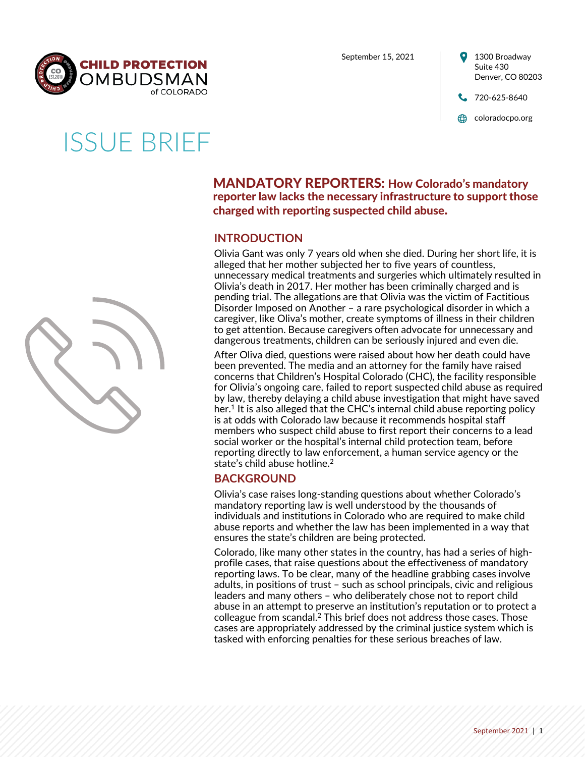

September 15, 2021



# ISSUE BRIEF



# MANDATORY REPORTERS: How Colorado's mandatory reporter law lacks the necessary infrastructure to support those charged with reporting suspected child abuse.

# **INTRODUCTION**

Olivia Gant was only 7 years old when she died. During her short life, it is alleged that her mother subjected her to five years of countless, unnecessary medical treatments and surgeries which ultimately resulted in Olivia's death in 2017. Her mother has been criminally charged and is pending trial. The allegations are that Olivia was the victim of Factitious Disorder Imposed on Another – a rare psychological disorder in which a caregiver, like Oliva's mother, create symptoms of illness in their children to get attention. Because caregivers often advocate for unnecessary and dangerous treatments, children can be seriously injured and even die.

After Oliva died, questions were raised about how her death could have been prevented. The media and an attorney for the family have raised concerns that Children's Hospital Colorado (CHC), the facility responsible for Olivia's ongoing care, failed to report suspected child abuse as required by law, thereby delaying a child abuse investigation that might have saved her.<sup>1</sup> It is also alleged that the CHC's internal child abuse reporting policy is at odds with Colorado law because it recommends hospital staff members who suspect child abuse to first report their concerns to a lead social worker or the hospital's internal child protection team, before reporting directly to law enforcement, a human service agency or the state's child abuse hotline.2

# **BACKGROUND**

Olivia's case raises long-standing questions about whether Colorado's mandatory reporting law is well understood by the thousands of individuals and institutions in Colorado who are required to make child abuse reports and whether the law has been implemented in a way that ensures the state's children are being protected.

Colorado, like many other states in the country, has had a series of highprofile cases, that raise questions about the effectiveness of mandatory reporting laws. To be clear, many of the headline grabbing cases involve adults, in positions of trust – such as school principals, civic and religious leaders and many others – who deliberately chose not to report child abuse in an attempt to preserve an institution's reputation or to protect a colleague from scandal.2 This brief does not address those cases. Those cases are appropriately addressed by the criminal justice system which is tasked with enforcing penalties for these serious breaches of law.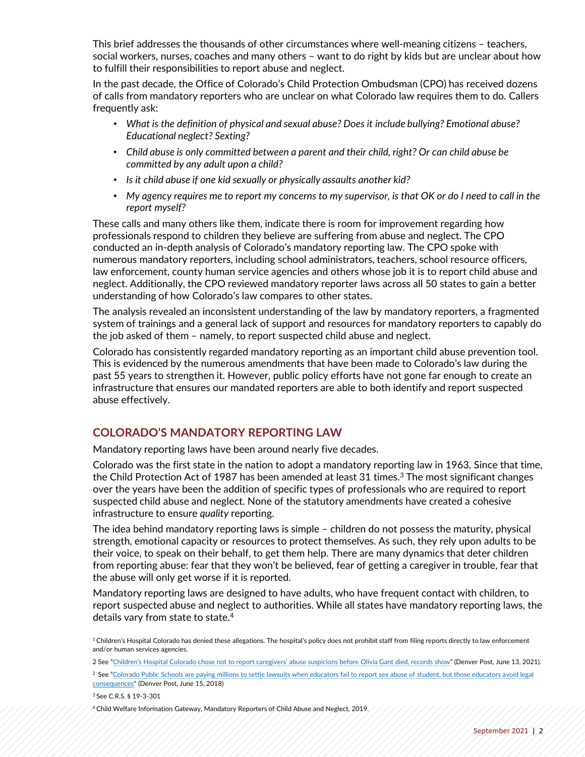This brief addresses the thousands of other circumstances where well-meaning citizens – teachers, social workers, nurses, coaches and many others – want to do right by kids but are unclear about how to fulfill their responsibilities to report abuse and neglect.

In the past decade, the Office of Colorado's Child Protection Ombudsman (CPO) has received dozens of calls from mandatory reporters who are unclear on what Colorado law requires them to do. Callers frequently ask:

- *What is the definition of physical and sexual abuse? Does it include bullying? Emotional abuse? Educational neglect? Sexting?*
- *Child abuse is only committed between a parent and their child, right? Or can child abuse be committed by any adult upon a child?*
- *Is it child abuse if one kid sexually or physically assaults another kid?*
- *My agency requires me to report my concerns to my supervisor, is that OK or do I need to call in the report myself?*

These calls and many others like them, indicate there is room for improvement regarding how professionals respond to children they believe are suffering from abuse and neglect. The CPO conducted an in-depth analysis of Colorado's mandatory reporting law. The CPO spoke with numerous mandatory reporters, including school administrators, teachers, school resource officers, law enforcement, county human service agencies and others whose job it is to report child abuse and neglect. Additionally, the CPO reviewed mandatory reporter laws across all 50 states to gain a better understanding of how Colorado's law compares to other states.

The analysis revealed an inconsistent understanding of the law by mandatory reporters, a fragmented system of trainings and a general lack of support and resources for mandatory reporters to capably do the job asked of them – namely, to report suspected child abuse and neglect.

Colorado has consistently regarded mandatory reporting as an important child abuse prevention tool. This is evidenced by the numerous amendments that have been made to Colorado's law during the past 55 years to strengthen it. However, public policy efforts have not gone far enough to create an infrastructure that ensures our mandated reporters are able to both identify and report suspected abuse effectively.

## **COLORADO'S MANDATORY REPORTING LAW**

Mandatory reporting laws have been around nearly five decades.

Colorado was the first state in the nation to adopt a mandatory reporting law in 1963. Since that time, the Child Protection Act of 1987 has been amended at least 31 times.<sup>3</sup> The most significant changes over the years have been the addition of specific types of professionals who are required to report suspected child abuse and neglect. None of the statutory amendments have created a cohesive infrastructure to ensure *quality* reporting.

The idea behind mandatory reporting laws is simple – children do not possess the maturity, physical strength, emotional capacity or resources to protect themselves. As such, they rely upon adults to be their voice, to speak on their behalf, to get them help. There are many dynamics that deter children from reporting abuse: fear that they won't be believed, fear of getting a caregiver in trouble, fear that the abuse will only get worse if it is reported.

Mandatory reporting laws are designed to have adults, who have frequent contact with children, to report suspected abuse and neglect to authorities. While all states have mandatory reporting laws, the details vary from state to state.4

<sup>&</sup>lt;sup>1</sup> Children's Hospital Colorado has denied these allegations. The hospital's policy does not prohibit staff from filing reports directly to law enforcement and/or human services agencies.

<sup>2</sup> See ["Children's Hospital Colorado chose not to report caregivers' abuse suspicions before Olivia Gant died, records show](https://www.denverpost.com/2021/06/13/olivia-gant-kelly-turner-childrens-hospital-colorado/)" (Denver Post, June 13, 2021).

<sup>&</sup>lt;sup>2</sup> See "Colorado Public Schools are paying millions to settle lawsuits when educators fail to report sex abuse of student, but those educators avoid legal consequences" (Denver Post, June 15, 2018)

<sup>3</sup> See C.R.S. § 19-3-301

<sup>4</sup> Child Welfare Information Gateway, Mandatory Reporters of Child Abuse and Neglect, 2019.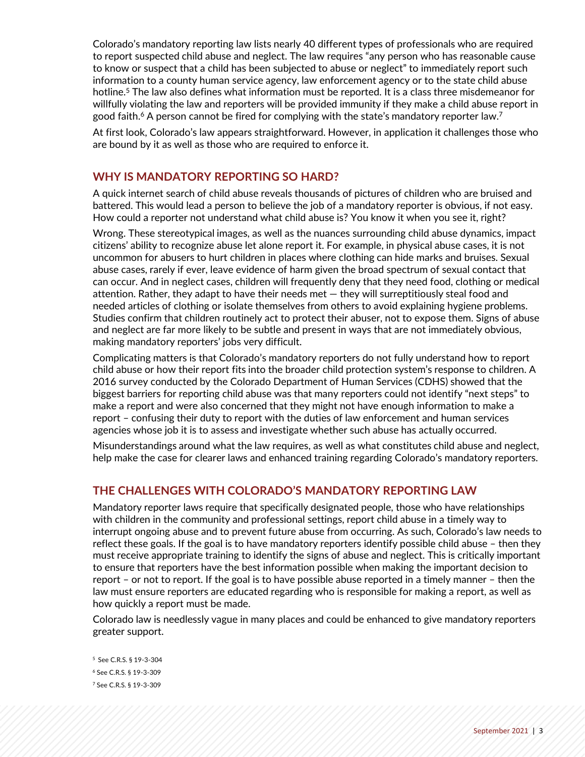Colorado's mandatory reporting law lists nearly 40 different types of professionals who are required to report suspected child abuse and neglect. The law requires "any person who has reasonable cause to know or suspect that a child has been subjected to abuse or neglect" to immediately report such information to a county human service agency, law enforcement agency or to the state child abuse hotline.<sup>5</sup> The law also defines what information must be reported. It is a class three misdemeanor for willfully violating the law and reporters will be provided immunity if they make a child abuse report in good faith.<sup>6</sup> A person cannot be fired for complying with the state's mandatory reporter law.<sup>7</sup>

At first look, Colorado's law appears straightforward. However, in application it challenges those who are bound by it as well as those who are required to enforce it.

## **WHY IS MANDATORY REPORTING SO HARD?**

A quick internet search of child abuse reveals thousands of pictures of children who are bruised and battered. This would lead a person to believe the job of a mandatory reporter is obvious, if not easy. How could a reporter not understand what child abuse is? You know it when you see it, right?

Wrong. These stereotypical images, as well as the nuances surrounding child abuse dynamics, impact citizens' ability to recognize abuse let alone report it. For example, in physical abuse cases, it is not uncommon for abusers to hurt children in places where clothing can hide marks and bruises. Sexual abuse cases, rarely if ever, leave evidence of harm given the broad spectrum of sexual contact that can occur. And in neglect cases, children will frequently deny that they need food, clothing or medical attention. Rather, they adapt to have their needs met — they will surreptitiously steal food and needed articles of clothing or isolate themselves from others to avoid explaining hygiene problems. Studies confirm that children routinely act to protect their abuser, not to expose them. Signs of abuse and neglect are far more likely to be subtle and present in ways that are not immediately obvious, making mandatory reporters' jobs very difficult.

Complicating matters is that Colorado's mandatory reporters do not fully understand how to report child abuse or how their report fits into the broader child protection system's response to children. A 2016 survey conducted by the Colorado Department of Human Services (CDHS) showed that the biggest barriers for reporting child abuse was that many reporters could not identify "next steps" to make a report and were also concerned that they might not have enough information to make a report – confusing their duty to report with the duties of law enforcement and human services agencies whose job it is to assess and investigate whether such abuse has actually occurred.

Misunderstandings around what the law requires, as well as what constitutes child abuse and neglect, help make the case for clearer laws and enhanced training regarding Colorado's mandatory reporters.

## **THE CHALLENGES WITH COLORADO'S MANDATORY REPORTING LAW**

Mandatory reporter laws require that specifically designated people, those who have relationships with children in the community and professional settings, report child abuse in a timely way to interrupt ongoing abuse and to prevent future abuse from occurring. As such, Colorado's law needs to reflect these goals. If the goal is to have mandatory reporters identify possible child abuse – then they must receive appropriate training to identify the signs of abuse and neglect. This is critically important to ensure that reporters have the best information possible when making the important decision to report – or not to report. If the goal is to have possible abuse reported in a timely manner – then the law must ensure reporters are educated regarding who is responsible for making a report, as well as how quickly a report must be made.

Colorado law is needlessly vague in many places and could be enhanced to give mandatory reporters greater support.

5 See C.R.S. § 19-3-304 <sup>6</sup> See C.R.S. § 19-3-309 <sup>7</sup> See C.R.S. § 19-3-309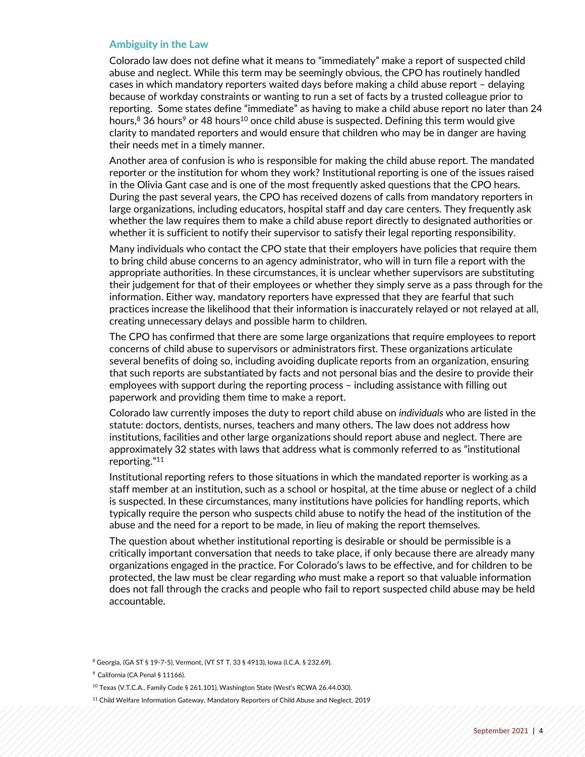#### **Ambiguity in the Law**

Colorado law does not define what it means to "immediately" make a report of suspected child abuse and neglect. While this term may be seemingly obvious, the CPO has routinely handled cases in which mandatory reporters waited days before making a child abuse report – delaying because of workday constraints or wanting to run a set of facts by a trusted colleague prior to reporting. Some states define "immediate" as having to make a child abuse report no later than 24 hours, $8$  36 hours<sup>9</sup> or 48 hours<sup>10</sup> once child abuse is suspected. Defining this term would give clarity to mandated reporters and would ensure that children who may be in danger are having their needs met in a timely manner.

Another area of confusion is *who* is responsible for making the child abuse report. The mandated reporter or the institution for whom they work? Institutional reporting is one of the issues raised in the Olivia Gant case and is one of the most frequently asked questions that the CPO hears. During the past several years, the CPO has received dozens of calls from mandatory reporters in large organizations, including educators, hospital staff and day care centers. They frequently ask whether the law requires them to make a child abuse report directly to designated authorities or whether it is sufficient to notify their supervisor to satisfy their legal reporting responsibility.

Many individuals who contact the CPO state that their employers have policies that require them to bring child abuse concerns to an agency administrator, who will in turn file a report with the appropriate authorities. In these circumstances, it is unclear whether supervisors are substituting their judgement for that of their employees or whether they simply serve as a pass through for the information. Either way, mandatory reporters have expressed that they are fearful that such practices increase the likelihood that their information is inaccurately relayed or not relayed at all, creating unnecessary delays and possible harm to children.

The CPO has confirmed that there are some large organizations that require employees to report concerns of child abuse to supervisors or administrators first. These organizations articulate several benefits of doing so, including avoiding duplicate reports from an organization, ensuring that such reports are substantiated by facts and not personal bias and the desire to provide their employees with support during the reporting process – including assistance with filling out paperwork and providing them time to make a report.

Colorado law currently imposes the duty to report child abuse on *individuals* who are listed in the statute: doctors, dentists, nurses, teachers and many others. The law does not address how institutions, facilities and other large organizations should report abuse and neglect. There are approximately 32 states with laws that address what is commonly referred to as "institutional reporting."11

Institutional reporting refers to those situations in which the mandated reporter is working as a staff member at an institution, such as a school or hospital, at the time abuse or neglect of a child is suspected. In these circumstances, many institutions have policies for handling reports, which typically require the person who suspects child abuse to notify the head of the institution of the abuse and the need for a report to be made, in lieu of making the report themselves.

The question about whether institutional reporting is desirable or should be permissible is a critically important conversation that needs to take place, if only because there are already many organizations engaged in the practice. For Colorado's laws to be effective, and for children to be protected, the law must be clear regarding *who* must make a report so that valuable information does not fall through the cracks and people who fail to report suspected child abuse may be held accountable.

<sup>8</sup> Georgia, (GA ST § 19-7-5), Vermont, (VT ST T. 33 § 4913), Iowa (I.C.A. § 232.69).

<sup>9</sup> California (CA Penal § 11166).

<sup>10</sup> Texas (V.T.C.A., Family Code § 261.101), Washington State (West's RCWA 26.44.030).

<sup>11</sup> Child Welfare Information Gateway, Mandatory Reporters of Child Abuse and Neglect, 2019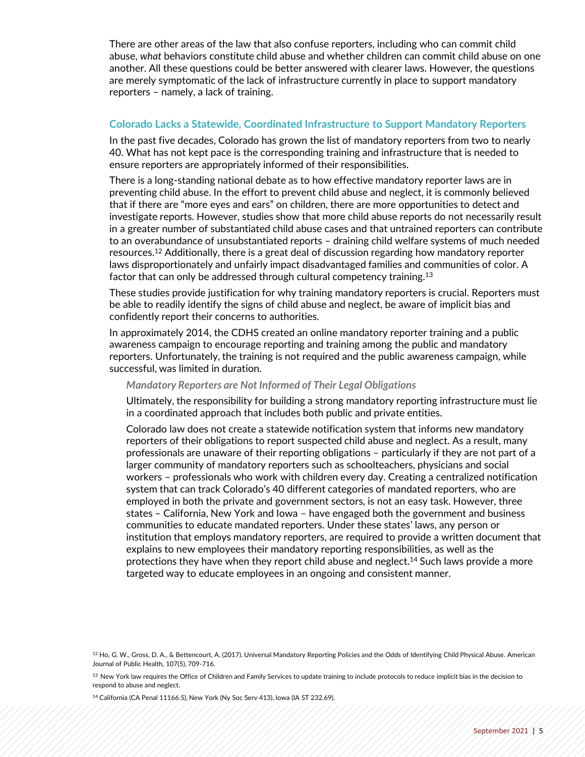There are other areas of the law that also confuse reporters, including who can commit child abuse, *what* behaviors constitute child abuse and whether children can commit child abuse on one another. All these questions could be better answered with clearer laws. However, the questions are merely symptomatic of the lack of infrastructure currently in place to support mandatory reporters – namely, a lack of training.

#### **Colorado Lacks a Statewide, Coordinated Infrastructure to Support Mandatory Reporters**

In the past five decades, Colorado has grown the list of mandatory reporters from two to nearly 40. What has not kept pace is the corresponding training and infrastructure that is needed to ensure reporters are appropriately informed of their responsibilities.

There is a long-standing national debate as to how effective mandatory reporter laws are in preventing child abuse. In the effort to prevent child abuse and neglect, it is commonly believed that if there are "more eyes and ears" on children, there are more opportunities to detect and investigate reports. However, studies show that more child abuse reports do not necessarily result in a greater number of substantiated child abuse cases and that untrained reporters can contribute to an overabundance of unsubstantiated reports – draining child welfare systems of much needed resources.12 Additionally, there is a great deal of discussion regarding how mandatory reporter laws disproportionately and unfairly impact disadvantaged families and communities of color. A factor that can only be addressed through cultural competency training.13

These studies provide justification for why training mandatory reporters is crucial. Reporters must be able to readily identify the signs of child abuse and neglect, be aware of implicit bias and confidently report their concerns to authorities.

In approximately 2014, the CDHS created an online mandatory reporter training and a public awareness campaign to encourage reporting and training among the public and mandatory reporters. Unfortunately, the training is not required and the public awareness campaign, while successful, was limited in duration.

#### *Mandatory Reporters are Not Informed of Their Legal Obligations*

Ultimately, the responsibility for building a strong mandatory reporting infrastructure must lie in a coordinated approach that includes both public and private entities.

Colorado law does not create a statewide notification system that informs new mandatory reporters of their obligations to report suspected child abuse and neglect. As a result, many professionals are unaware of their reporting obligations – particularly if they are not part of a larger community of mandatory reporters such as schoolteachers, physicians and social workers – professionals who work with children every day. Creating a centralized notification system that can track Colorado's 40 different categories of mandated reporters, who are employed in both the private and government sectors, is not an easy task. However, three states – California, New York and Iowa – have engaged both the government and business communities to educate mandated reporters. Under these states' laws, any person or institution that employs mandatory reporters, are required to provide a written document that explains to new employees their mandatory reporting responsibilities, as well as the protections they have when they report child abuse and neglect.<sup>14</sup> Such laws provide a more targeted way to educate employees in an ongoing and consistent manner.

<sup>12</sup> Ho, G. W., Gross, D. A., & Bettencourt, A. (2017). Universal Mandatory Reporting Policies and the Odds of Identifying Child Physical Abuse. American Journal of Public Health, 107(5), 709-716.

<sup>&</sup>lt;sup>13</sup> New York law requires the Office of Children and Family Services to update training to include protocols to reduce implicit bias in the decision to respond to abuse and neglect.

<sup>14</sup> California (CA Penal 11166.5), New York (Ny Soc Serv 413), Iowa (IA ST 232.69).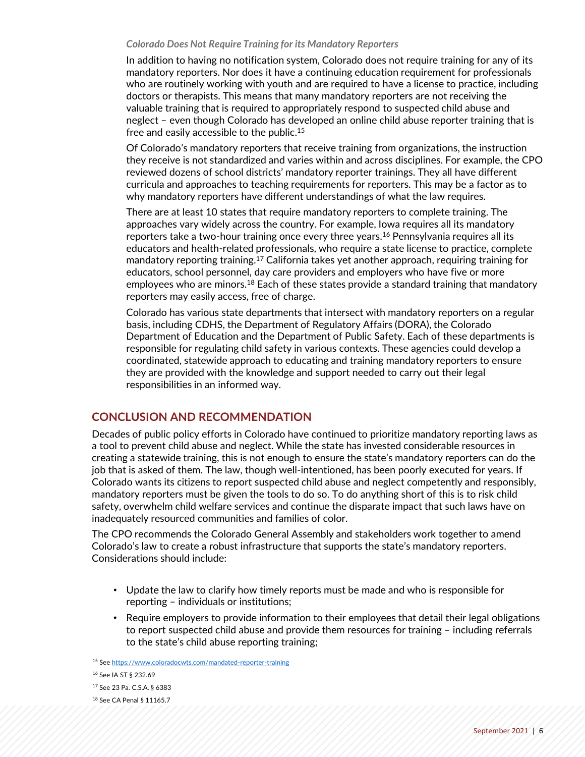#### *Colorado Does Not Require Training for its Mandatory Reporters*

In addition to having no notification system, Colorado does not require training for any of its mandatory reporters. Nor does it have a continuing education requirement for professionals who are routinely working with youth and are required to have a license to practice, including doctors or therapists. This means that many mandatory reporters are not receiving the valuable training that is required to appropriately respond to suspected child abuse and neglect – even though Colorado has developed an online child abuse reporter training that is free and easily accessible to the public.15

Of Colorado's mandatory reporters that receive training from organizations, the instruction they receive is not standardized and varies within and across disciplines. For example, the CPO reviewed dozens of school districts' mandatory reporter trainings. They all have different curricula and approaches to teaching requirements for reporters. This may be a factor as to why mandatory reporters have different understandings of what the law requires.

There are at least 10 states that require mandatory reporters to complete training. The approaches vary widely across the country. For example, Iowa requires all its mandatory reporters take a two-hour training once every three years.<sup>16</sup> Pennsylvania requires all its educators and health-related professionals, who require a state license to practice, complete mandatory reporting training.17 California takes yet another approach, requiring training for educators, school personnel, day care providers and employers who have five or more employees who are minors.<sup>18</sup> Each of these states provide a standard training that mandatory reporters may easily access, free of charge.

Colorado has various state departments that intersect with mandatory reporters on a regular basis, including CDHS, the Department of Regulatory Affairs (DORA), the Colorado Department of Education and the Department of Public Safety. Each of these departments is responsible for regulating child safety in various contexts. These agencies could develop a coordinated, statewide approach to educating and training mandatory reporters to ensure they are provided with the knowledge and support needed to carry out their legal responsibilities in an informed way.

### **CONCLUSION AND RECOMMENDATION**

Decades of public policy efforts in Colorado have continued to prioritize mandatory reporting laws as a tool to prevent child abuse and neglect. While the state has invested considerable resources in creating a statewide training, this is not enough to ensure the state's mandatory reporters can do the job that is asked of them. The law, though well-intentioned, has been poorly executed for years. If Colorado wants its citizens to report suspected child abuse and neglect competently and responsibly, mandatory reporters must be given the tools to do so. To do anything short of this is to risk child safety, overwhelm child welfare services and continue the disparate impact that such laws have on inadequately resourced communities and families of color.

The CPO recommends the Colorado General Assembly and stakeholders work together to amend Colorado's law to create a robust infrastructure that supports the state's mandatory reporters. Considerations should include:

- Update the law to clarify how timely reports must be made and who is responsible for reporting – individuals or institutions;
- Require employers to provide information to their employees that detail their legal obligations to report suspected child abuse and provide them resources for training – including referrals to the state's child abuse reporting training;

 See<https://www.coloradocwts.com/mandated-reporter-training> See IA ST § 232.69 See 23 Pa. C.S.A. § 6383 See CA Penal § 11165.7